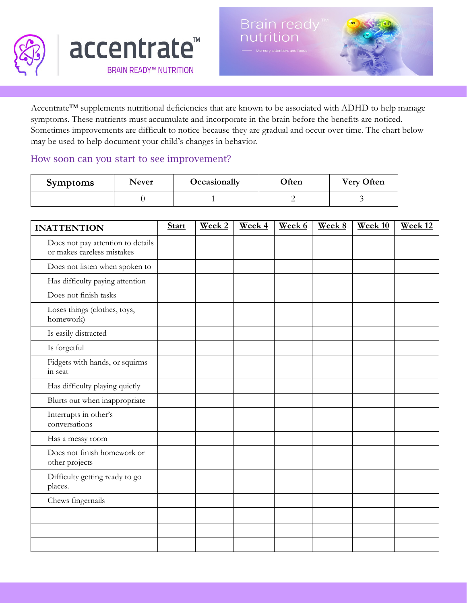

Accentrate™ supplements nutritional deficiencies that are known to be associated with ADHD to help manage symptoms. These nutrients must accumulate and incorporate in the brain before the benefits are noticed. Sometimes improvements are difficult to notice because they are gradual and occur over time. The chart below may be used to help document your child's changes in behavior.

## How soon can you start to see improvement?

| <b>Symptoms</b> | <b>Never</b> | Occasionally | Often | <b>Very Often</b> |  |
|-----------------|--------------|--------------|-------|-------------------|--|
|                 |              |              |       |                   |  |

| <b>INATTENTION</b>                                              | <b>Start</b> | Week 2 | Week 4 | Week 6 | Week 8 | Week 10 | Week <sub>12</sub> |
|-----------------------------------------------------------------|--------------|--------|--------|--------|--------|---------|--------------------|
| Does not pay attention to details<br>or makes careless mistakes |              |        |        |        |        |         |                    |
| Does not listen when spoken to                                  |              |        |        |        |        |         |                    |
| Has difficulty paying attention                                 |              |        |        |        |        |         |                    |
| Does not finish tasks                                           |              |        |        |        |        |         |                    |
| Loses things (clothes, toys,<br>homework)                       |              |        |        |        |        |         |                    |
| Is easily distracted                                            |              |        |        |        |        |         |                    |
| Is forgetful                                                    |              |        |        |        |        |         |                    |
| Fidgets with hands, or squirms<br>in seat                       |              |        |        |        |        |         |                    |
| Has difficulty playing quietly                                  |              |        |        |        |        |         |                    |
| Blurts out when inappropriate                                   |              |        |        |        |        |         |                    |
| Interrupts in other's<br>conversations                          |              |        |        |        |        |         |                    |
| Has a messy room                                                |              |        |        |        |        |         |                    |
| Does not finish homework or<br>other projects                   |              |        |        |        |        |         |                    |
| Difficulty getting ready to go<br>places.                       |              |        |        |        |        |         |                    |
| Chews fingernails                                               |              |        |        |        |        |         |                    |
|                                                                 |              |        |        |        |        |         |                    |
|                                                                 |              |        |        |        |        |         |                    |
|                                                                 |              |        |        |        |        |         |                    |